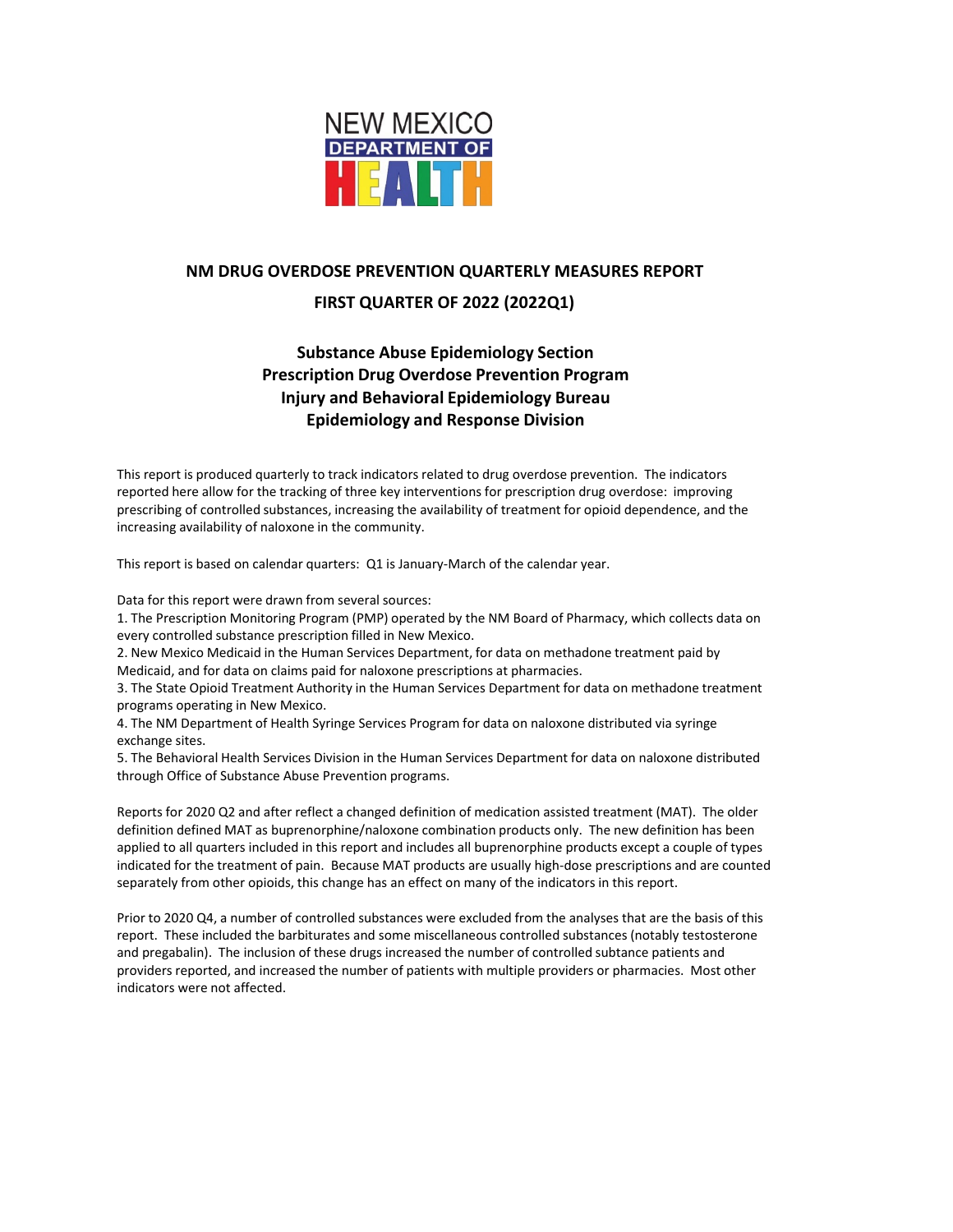

# **NM DRUG OVERDOSE PREVENTION QUARTERLY MEASURES REPORT**

## **FIRST QUARTER OF 2022 (2022Q1)**

# **Substance Abuse Epidemiology Section Prescription Drug Overdose Prevention Program Injury and Behavioral Epidemiology Bureau Epidemiology and Response Division**

This report is produced quarterly to track indicators related to drug overdose prevention. The indicators reported here allow for the tracking of three key interventions for prescription drug overdose: improving prescribing of controlled substances, increasing the availability of treatment for opioid dependence, and the increasing availability of naloxone in the community.

This report is based on calendar quarters: Q1 is January-March of the calendar year.

Data for this report were drawn from several sources:

1. The Prescription Monitoring Program (PMP) operated by the NM Board of Pharmacy, which collects data on every controlled substance prescription filled in New Mexico.

2. New Mexico Medicaid in the Human Services Department, for data on methadone treatment paid by Medicaid, and for data on claims paid for naloxone prescriptions at pharmacies.

3. The State Opioid Treatment Authority in the Human Services Department for data on methadone treatment programs operating in New Mexico.

4. The NM Department of Health Syringe Services Program for data on naloxone distributed via syringe exchange sites.

5. The Behavioral Health Services Division in the Human Services Department for data on naloxone distributed through Office of Substance Abuse Prevention programs.

Reports for 2020 Q2 and after reflect a changed definition of medication assisted treatment (MAT). The older definition defined MAT as buprenorphine/naloxone combination products only. The new definition has been applied to all quarters included in this report and includes all buprenorphine products except a couple of types indicated for the treatment of pain. Because MAT products are usually high-dose prescriptions and are counted separately from other opioids, this change has an effect on many of the indicators in this report.

Prior to 2020 Q4, a number of controlled substances were excluded from the analyses that are the basis of this report. These included the barbiturates and some miscellaneous controlled substances (notably testosterone and pregabalin). The inclusion of these drugs increased the number of controlled subtance patients and providers reported, and increased the number of patients with multiple providers or pharmacies. Most other indicators were not affected.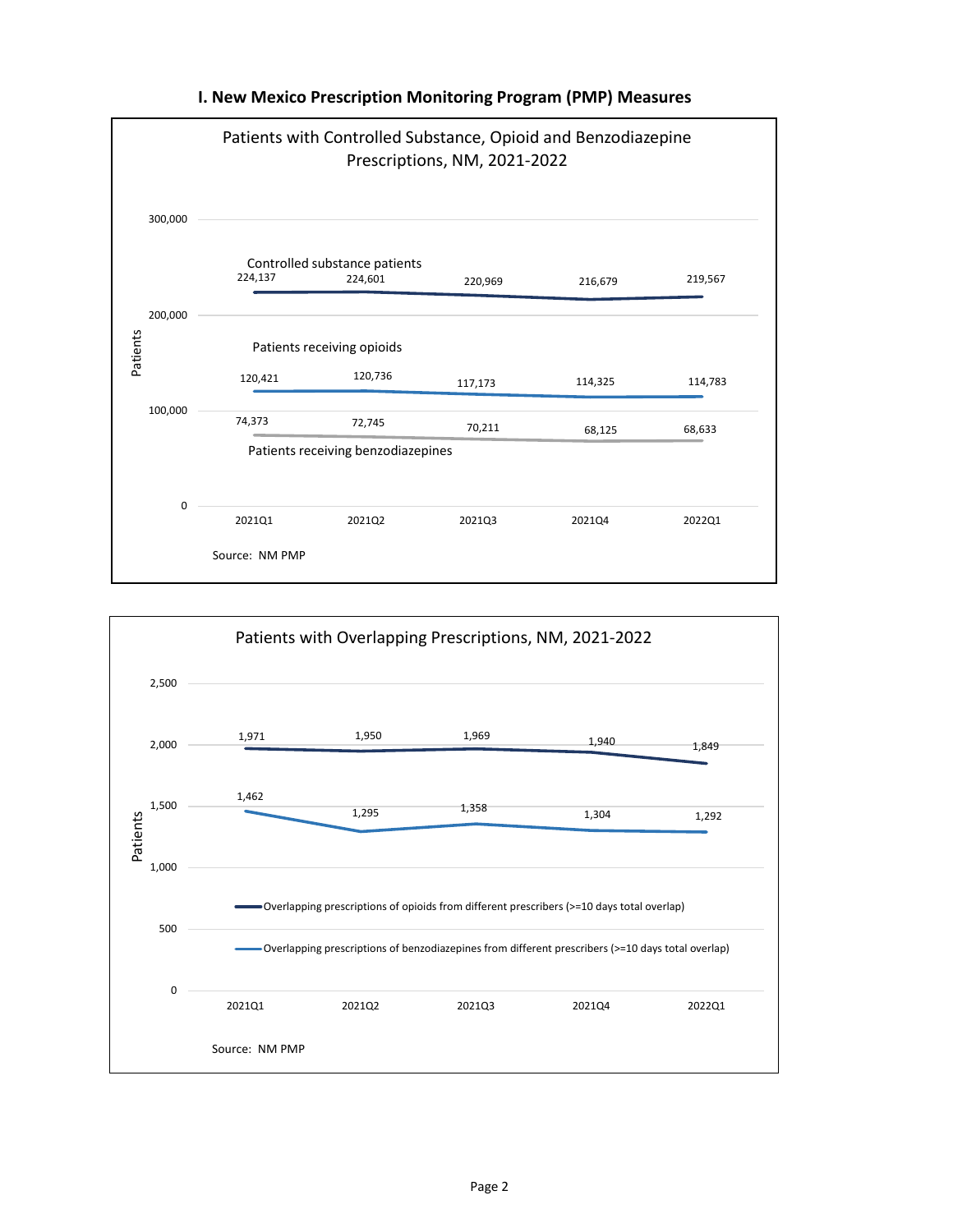

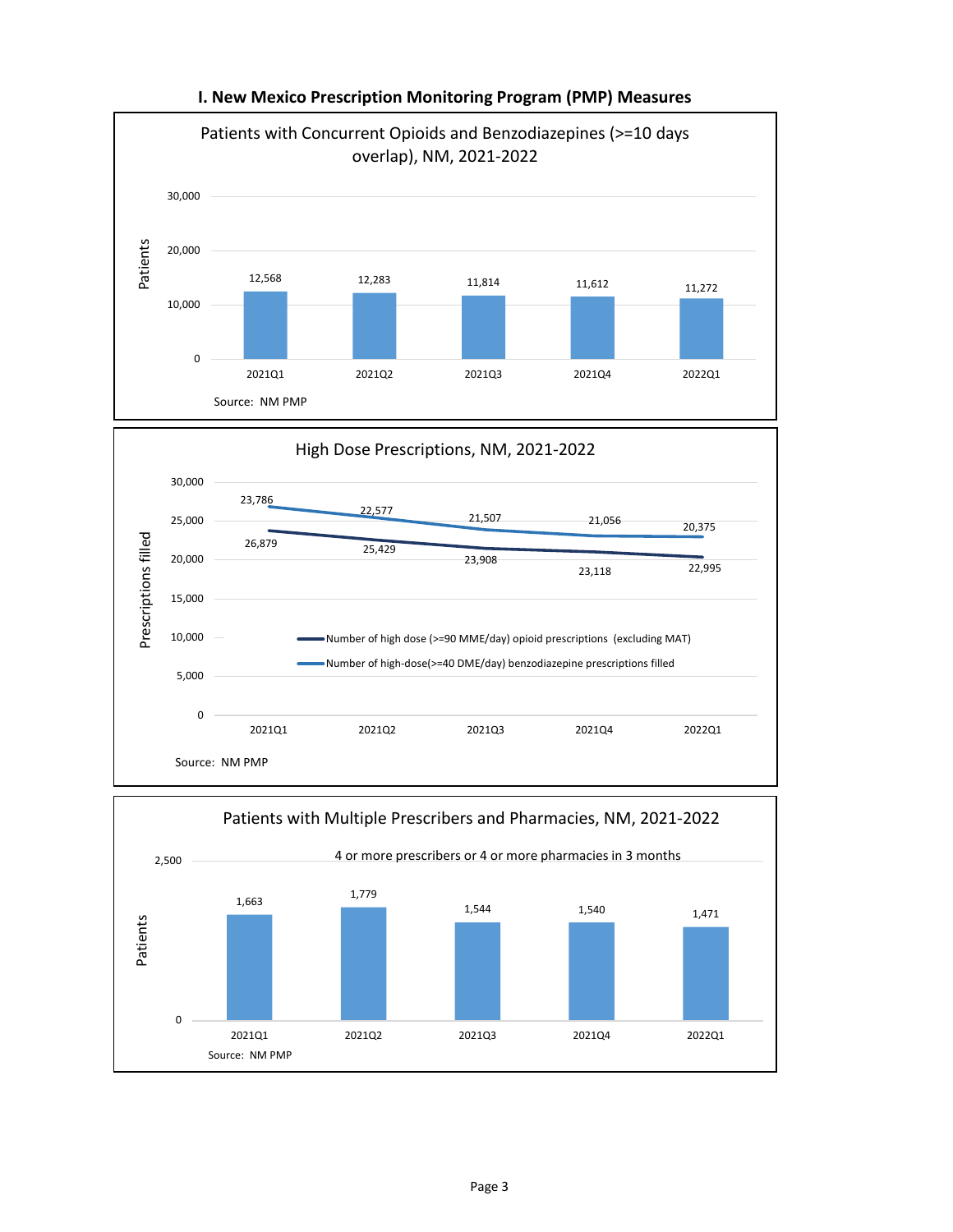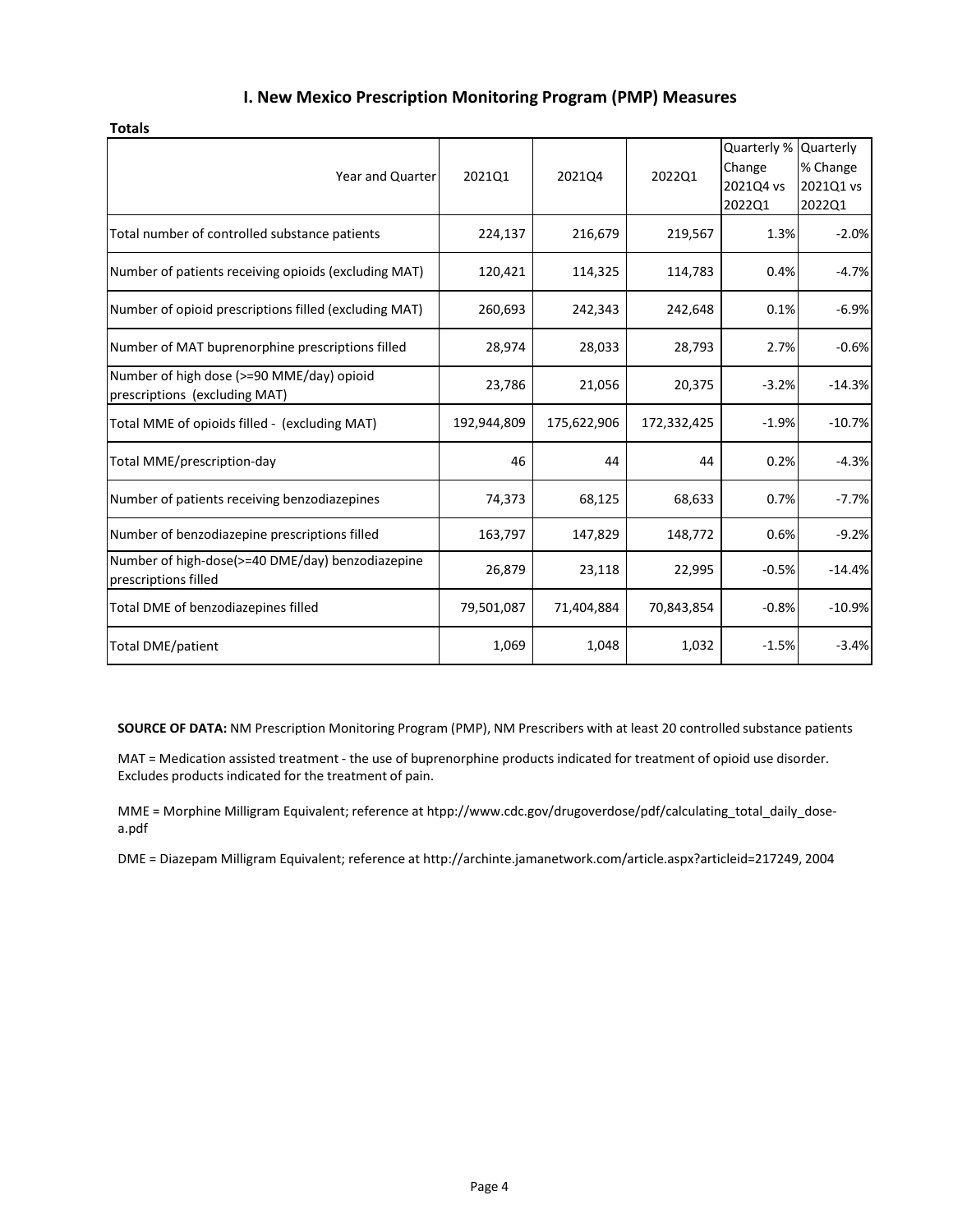| Year and Quarter                                                           | 2021Q1      | 2021Q4      | 2022Q1      | Quarterly %<br>Change<br>2021Q4 vs<br>2022Q1 | Quarterly<br>% Change<br>2021Q1 vs<br>2022Q1 |
|----------------------------------------------------------------------------|-------------|-------------|-------------|----------------------------------------------|----------------------------------------------|
| Total number of controlled substance patients                              | 224,137     | 216,679     | 219,567     | 1.3%                                         | $-2.0%$                                      |
| Number of patients receiving opioids (excluding MAT)                       | 120,421     | 114,325     | 114,783     | 0.4%                                         | $-4.7%$                                      |
| Number of opioid prescriptions filled (excluding MAT)                      | 260,693     | 242,343     | 242,648     | 0.1%                                         | $-6.9%$                                      |
| Number of MAT buprenorphine prescriptions filled                           | 28,974      | 28,033      | 28,793      | 2.7%                                         | $-0.6%$                                      |
| Number of high dose (>=90 MME/day) opioid<br>prescriptions (excluding MAT) | 23,786      | 21,056      | 20,375      | $-3.2%$                                      | $-14.3%$                                     |
| Total MME of opioids filled - (excluding MAT)                              | 192,944,809 | 175,622,906 | 172,332,425 | $-1.9%$                                      | $-10.7%$                                     |
| Total MME/prescription-day                                                 | 46          | 44          | 44          | 0.2%                                         | $-4.3%$                                      |
| Number of patients receiving benzodiazepines                               | 74,373      | 68,125      | 68,633      | 0.7%                                         | $-7.7%$                                      |
| Number of benzodiazepine prescriptions filled                              | 163,797     | 147,829     | 148,772     | 0.6%                                         | $-9.2%$                                      |
| Number of high-dose(>=40 DME/day) benzodiazepine<br>prescriptions filled   | 26,879      | 23,118      | 22,995      | $-0.5%$                                      | $-14.4%$                                     |
| Total DME of benzodiazepines filled                                        | 79,501,087  | 71,404,884  | 70,843,854  | $-0.8%$                                      | $-10.9%$                                     |
| <b>Total DME/patient</b>                                                   | 1,069       | 1,048       | 1,032       | $-1.5%$                                      | $-3.4%$                                      |

**SOURCE OF DATA:** NM Prescription Monitoring Program (PMP), NM Prescribers with at least 20 controlled substance patients

MAT = Medication assisted treatment - the use of buprenorphine products indicated for treatment of opioid use disorder. Excludes products indicated for the treatment of pain.

MME = Morphine Milligram Equivalent; reference at htpp://www.cdc.gov/drugoverdose/pdf/calculating\_total\_daily\_dosea.pdf

DME = Diazepam Milligram Equivalent; reference at http://archinte.jamanetwork.com/article.aspx?articleid=217249, 2004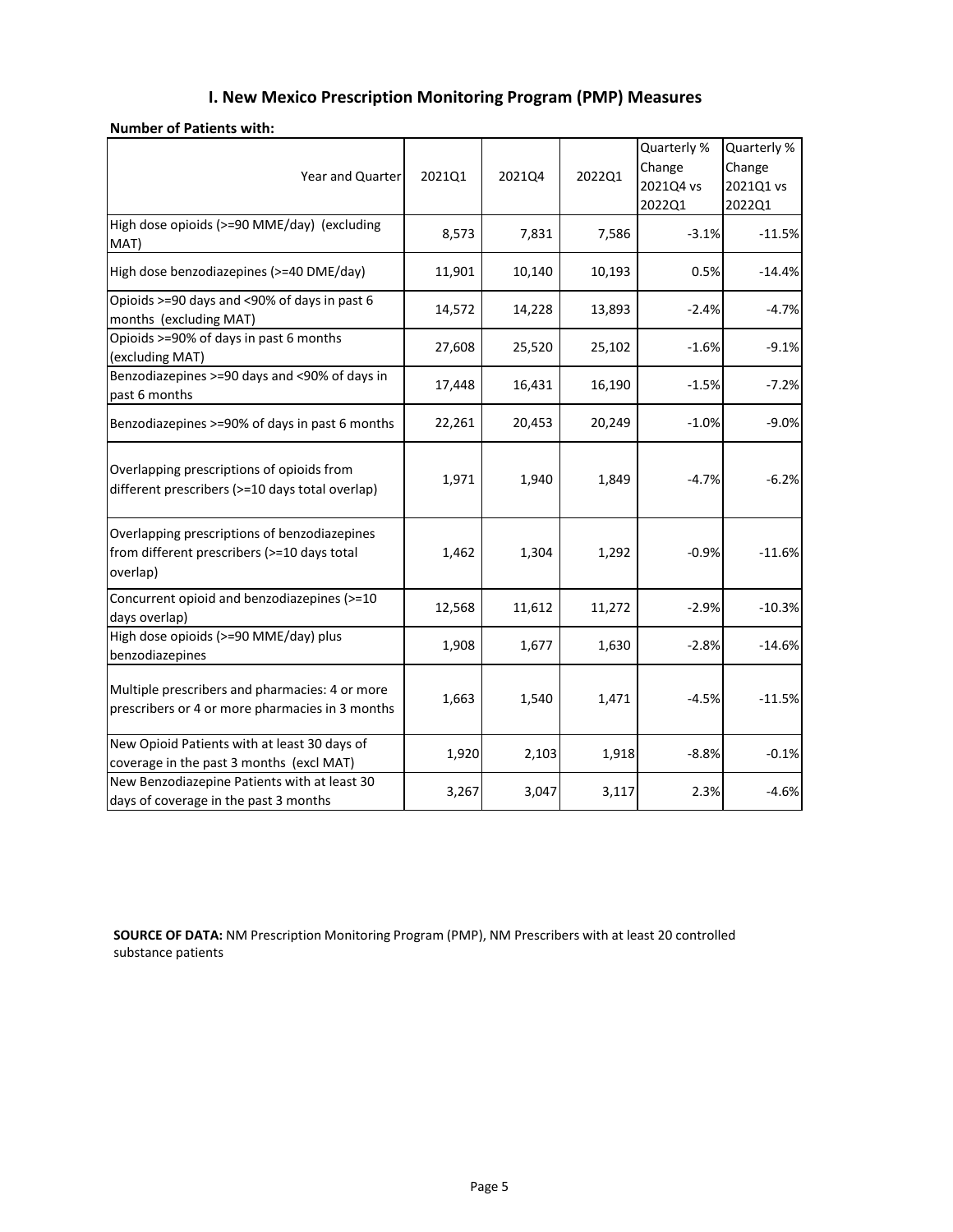| <b>Number of Patients with:</b> |  |  |
|---------------------------------|--|--|
|---------------------------------|--|--|

| Year and Quarter                                                                                        | 2021Q1 | 2021Q4 | 2022Q1 | Quarterly %<br>Change<br>2021Q4 vs<br>2022Q1 | Quarterly %<br>Change<br>2021Q1 vs<br>2022Q1 |
|---------------------------------------------------------------------------------------------------------|--------|--------|--------|----------------------------------------------|----------------------------------------------|
| High dose opioids (>=90 MME/day) (excluding<br>MAT)                                                     | 8,573  | 7,831  | 7,586  | $-3.1%$                                      | $-11.5%$                                     |
| High dose benzodiazepines (>=40 DME/day)                                                                | 11,901 | 10,140 | 10,193 | 0.5%                                         | $-14.4%$                                     |
| Opioids >=90 days and <90% of days in past 6<br>months (excluding MAT)                                  | 14,572 | 14,228 | 13,893 | $-2.4%$                                      | $-4.7%$                                      |
| Opioids >=90% of days in past 6 months<br>(excluding MAT)                                               | 27,608 | 25,520 | 25,102 | $-1.6%$                                      | $-9.1%$                                      |
| Benzodiazepines >=90 days and <90% of days in<br>past 6 months                                          | 17,448 | 16,431 | 16,190 | $-1.5%$                                      | $-7.2%$                                      |
| Benzodiazepines >=90% of days in past 6 months                                                          | 22,261 | 20,453 | 20,249 | $-1.0%$                                      | $-9.0%$                                      |
| Overlapping prescriptions of opioids from<br>different prescribers (>=10 days total overlap)            | 1,971  | 1,940  | 1,849  | $-4.7%$                                      | $-6.2%$                                      |
| Overlapping prescriptions of benzodiazepines<br>from different prescribers (>=10 days total<br>overlap) | 1,462  | 1,304  | 1,292  | $-0.9%$                                      | $-11.6%$                                     |
| Concurrent opioid and benzodiazepines (>=10<br>days overlap)                                            | 12,568 | 11,612 | 11,272 | $-2.9%$                                      | $-10.3%$                                     |
| High dose opioids (>=90 MME/day) plus<br>benzodiazepines                                                | 1,908  | 1,677  | 1,630  | $-2.8%$                                      | $-14.6%$                                     |
| Multiple prescribers and pharmacies: 4 or more<br>prescribers or 4 or more pharmacies in 3 months       | 1,663  | 1,540  | 1,471  | $-4.5%$                                      | $-11.5%$                                     |
| New Opioid Patients with at least 30 days of<br>coverage in the past 3 months (excl MAT)                | 1,920  | 2,103  | 1,918  | $-8.8%$                                      | $-0.1%$                                      |
| New Benzodiazepine Patients with at least 30<br>days of coverage in the past 3 months                   | 3,267  | 3,047  | 3,117  | 2.3%                                         | $-4.6%$                                      |

**SOURCE OF DATA:** NM Prescription Monitoring Program (PMP), NM Prescribers with at least 20 controlled substance patients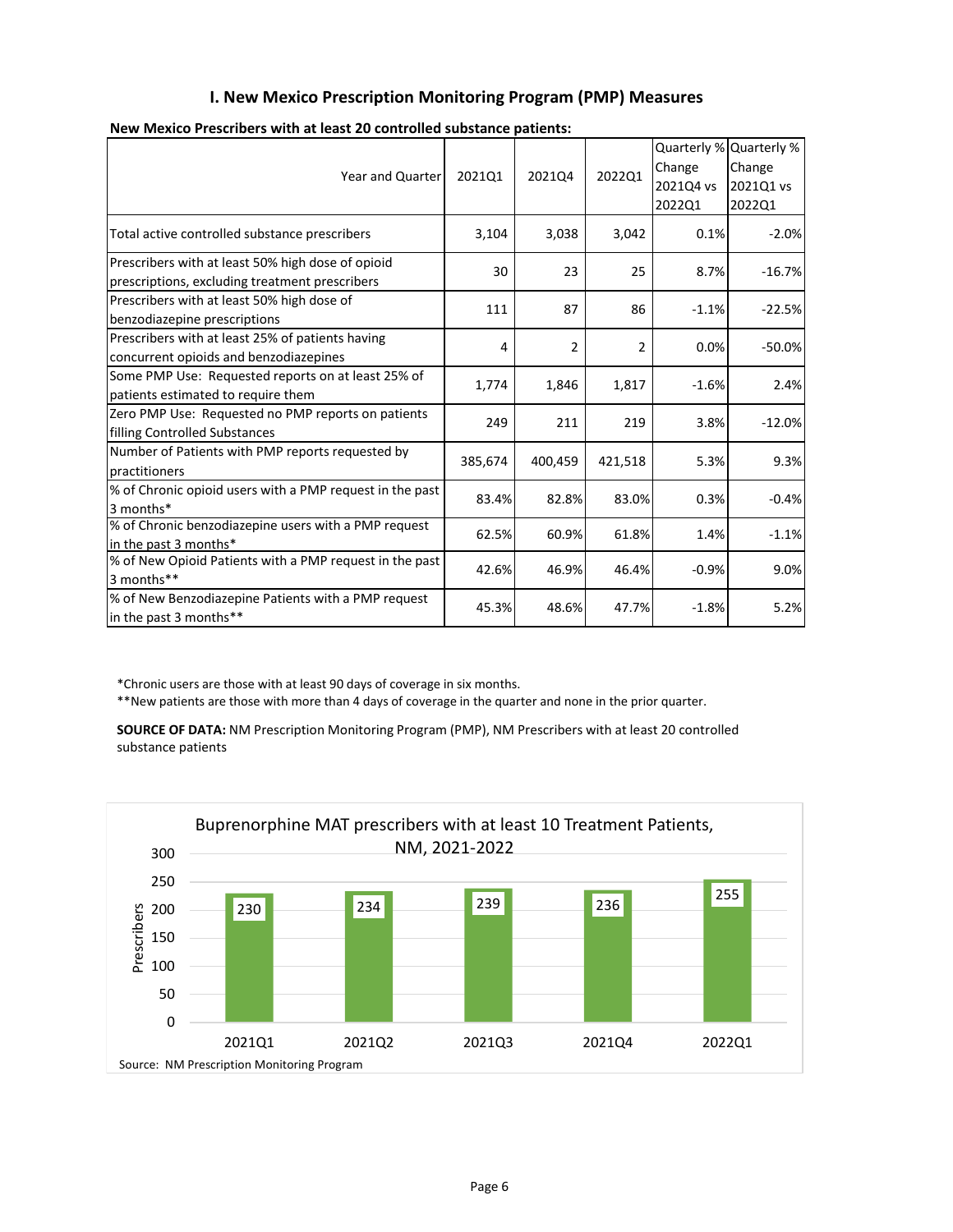| Year and Quarter                                                                                    | 202101  | 202104         | 202201         | Change<br>2021Q4 vs<br>2022Q1 | Quarterly % Quarterly %<br>Change<br>2021Q1 vs<br>2022Q1 |
|-----------------------------------------------------------------------------------------------------|---------|----------------|----------------|-------------------------------|----------------------------------------------------------|
| Total active controlled substance prescribers                                                       | 3,104   | 3,038          | 3,042          | 0.1%                          | $-2.0%$                                                  |
| Prescribers with at least 50% high dose of opioid<br>prescriptions, excluding treatment prescribers | 30      | 23             | 25             | 8.7%                          | $-16.7%$                                                 |
| Prescribers with at least 50% high dose of<br>benzodiazepine prescriptions                          | 111     | 87             | 86             | $-1.1%$                       | $-22.5%$                                                 |
| Prescribers with at least 25% of patients having<br>concurrent opioids and benzodiazepines          | 4       | $\overline{2}$ | $\overline{2}$ | 0.0%                          | $-50.0%$                                                 |
| Some PMP Use: Requested reports on at least 25% of<br>patients estimated to require them            | 1,774   | 1,846          | 1,817          | $-1.6%$                       | 2.4%                                                     |
| Zero PMP Use: Requested no PMP reports on patients<br>filling Controlled Substances                 | 249     | 211            | 219            | 3.8%                          | $-12.0%$                                                 |
| Number of Patients with PMP reports requested by<br>practitioners                                   | 385,674 | 400,459        | 421,518        | 5.3%                          | 9.3%                                                     |
| % of Chronic opioid users with a PMP request in the past<br>3 months*                               | 83.4%   | 82.8%          | 83.0%          | 0.3%                          | $-0.4%$                                                  |
| % of Chronic benzodiazepine users with a PMP request<br>in the past 3 months*                       | 62.5%   | 60.9%          | 61.8%          | 1.4%                          | $-1.1%$                                                  |
| % of New Opioid Patients with a PMP request in the past<br>3 months**                               | 42.6%   | 46.9%          | 46.4%          | $-0.9%$                       | 9.0%                                                     |
| % of New Benzodiazepine Patients with a PMP request<br>in the past 3 months**                       | 45.3%   | 48.6%          | 47.7%          | $-1.8%$                       | 5.2%                                                     |

| New Mexico Prescribers with at least 20 controlled substance patients: |  |
|------------------------------------------------------------------------|--|
|------------------------------------------------------------------------|--|

\*Chronic users are those with at least 90 days of coverage in six months.

\*\*New patients are those with more than 4 days of coverage in the quarter and none in the prior quarter.

**SOURCE OF DATA:** NM Prescription Monitoring Program (PMP), NM Prescribers with at least 20 controlled substance patients

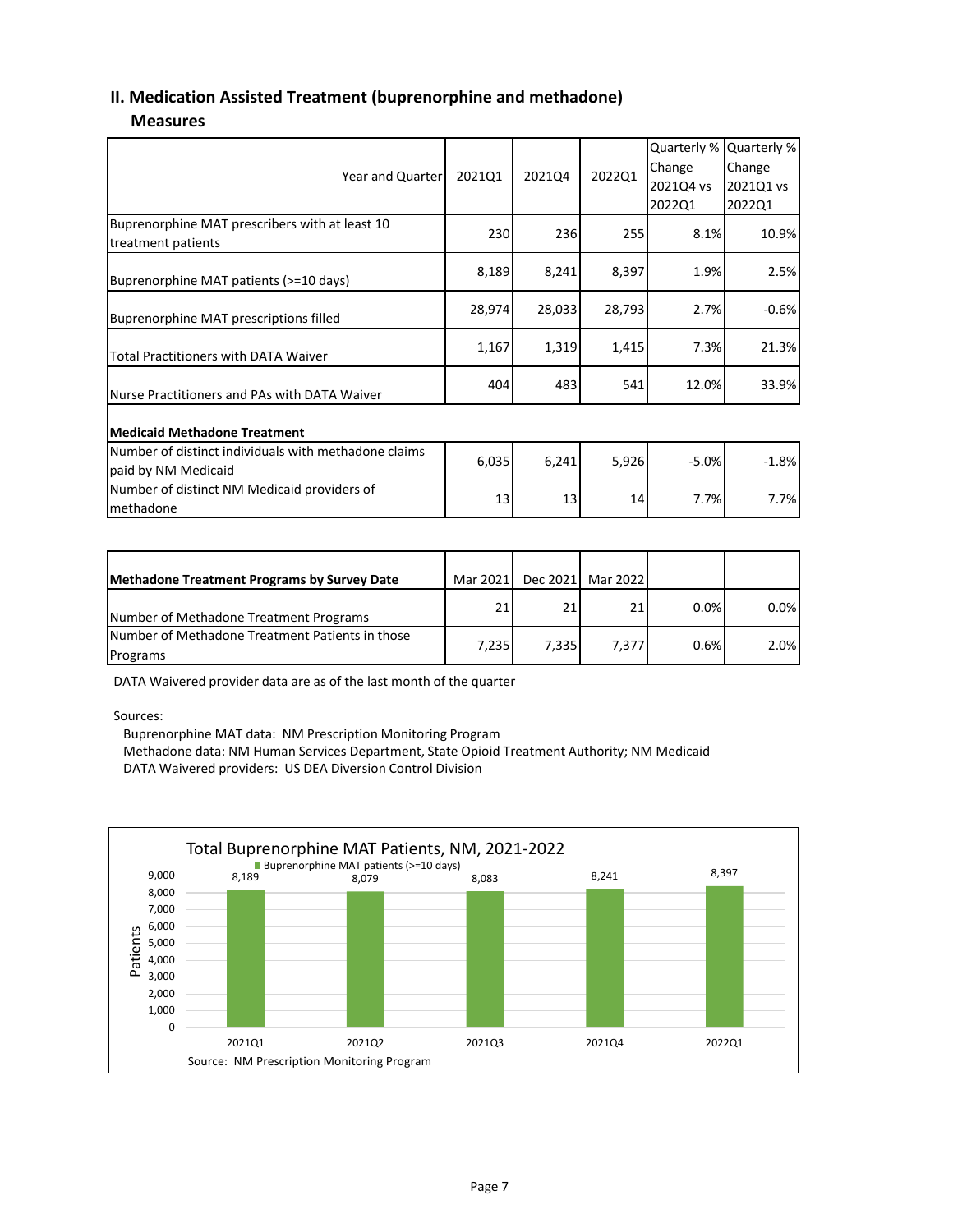## **II. Medication Assisted Treatment (buprenorphine and methadone)**

#### **Measures**

| <b>Year and Quarter</b>                                                     | 202101 | 202104 | 202201 | Quarterly %<br>Change<br>2021Q4 vs<br>2022Q1 | Quarterly %<br>Change<br>2021Q1 vs<br>2022Q1 |
|-----------------------------------------------------------------------------|--------|--------|--------|----------------------------------------------|----------------------------------------------|
| Buprenorphine MAT prescribers with at least 10<br>treatment patients        | 230    | 236    | 255    | 8.1%                                         | 10.9%                                        |
| Buprenorphine MAT patients (>=10 days)                                      | 8,189  | 8,241  | 8,397  | 1.9%                                         | 2.5%                                         |
| Buprenorphine MAT prescriptions filled                                      | 28,974 | 28,033 | 28,793 | 2.7%                                         | $-0.6%$                                      |
| <b>Total Practitioners with DATA Waiver</b>                                 | 1,167  | 1,319  | 1,415  | 7.3%                                         | 21.3%                                        |
| Nurse Practitioners and PAs with DATA Waiver                                | 404    | 483    | 541    | 12.0%                                        | 33.9%                                        |
| <b>Medicaid Methadone Treatment</b>                                         |        |        |        |                                              |                                              |
| Number of distinct individuals with methadone claims<br>paid by NM Medicaid | 6,035  | 6,241  | 5,926  | $-5.0%$                                      | $-1.8%$                                      |
| Number of distinct NM Medicaid providers of<br>methadone                    | 13     | 13     | 14     | 7.7%                                         | 7.7%                                         |

| <b>Methadone Treatment Programs by Survey Date</b>          | Mar 2021 |       | Dec 2021 Mar 2022 |      |      |
|-------------------------------------------------------------|----------|-------|-------------------|------|------|
| Number of Methadone Treatment Programs                      | 21       | 21    | 21                | 0.0% | 0.0% |
| Number of Methadone Treatment Patients in those<br>Programs | 7.235    | 7.335 | 7.377             | 0.6% | 2.0% |

DATA Waivered provider data are as of the last month of the quarter

Sources:

Buprenorphine MAT data: NM Prescription Monitoring Program

Methadone data: NM Human Services Department, State Opioid Treatment Authority; NM Medicaid DATA Waivered providers: US DEA Diversion Control Division